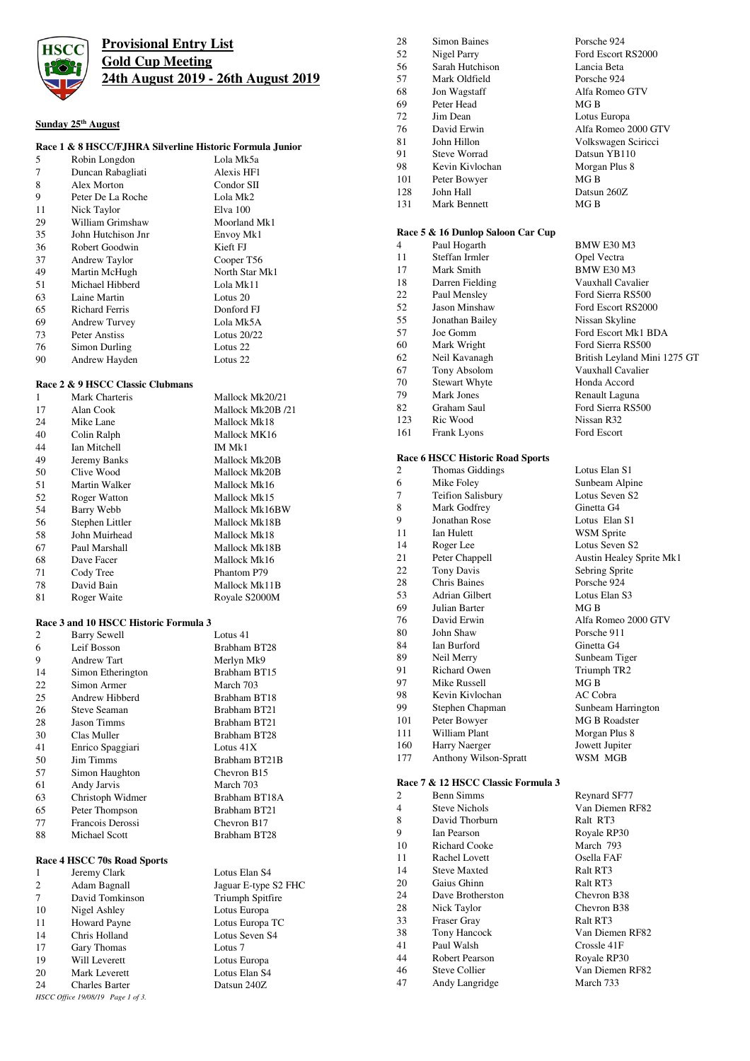

# **Provisional Entry List Gold Cup Meeting 24th August 2019 - 26th August 2019**

## **Sunday 25th August**

## **Race 1 & 8 HSCC/FJHRA Silverline Historic Formula Junior**

| 5  | Robin Longdon         | Lola Mk5a      |
|----|-----------------------|----------------|
| 7  | Duncan Rabagliati     | Alexis HF1     |
| 8  | Alex Morton           | Condor SII     |
| 9  | Peter De La Roche     | Lola Mk2       |
| 11 | Nick Taylor           | Elva 100       |
| 29 | William Grimshaw      | Moorland Mk1   |
| 35 | John Hutchison Jnr    | Envoy Mk1      |
| 36 | Robert Goodwin        | Kieft FJ       |
| 37 | Andrew Taylor         | Cooper T56     |
| 49 | Martin McHugh         | North Star Mk1 |
| 51 | Michael Hibberd       | Lola Mk11      |
| 63 | Laine Martin          | Lotus 20       |
| 65 | <b>Richard Ferris</b> | Donford FJ     |
| 69 | <b>Andrew Turvey</b>  | Lola Mk5A      |
| 73 | Peter Anstiss         | Lotus 20/22    |
| 76 | Simon Durling         | Lotus 22       |
| 90 | Andrew Hayden         | Lotus 22       |

### **Race 2 & 9 HSCC Classic Clubmans**

| 1  | Mark Charteris  | Mallock Mk20/21   |
|----|-----------------|-------------------|
| 17 | Alan Cook       | Mallock Mk20B /21 |
| 24 | Mike Lane       | Mallock Mk18      |
| 40 | Colin Ralph     | Mallock MK16      |
| 44 | Ian Mitchell    | IM Mk1            |
| 49 | Jeremy Banks    | Mallock Mk20B     |
| 50 | Clive Wood      | Mallock Mk20B     |
| 51 | Martin Walker   | Mallock Mk16      |
| 52 | Roger Watton    | Mallock Mk15      |
| 54 | Barry Webb      | Mallock Mk16BW    |
| 56 | Stephen Littler | Mallock Mk18B     |
| 58 | John Muirhead   | Mallock Mk18      |
| 67 | Paul Marshall   | Mallock Mk18B     |
| 68 | Dave Facer      | Mallock Mk16      |
| 71 | Cody Tree       | Phantom P79       |
| 78 | David Bain      | Mallock Mk11B     |
| 81 | Roger Waite     | Royale S2000M     |

#### **Race 3 and 10 HSCC Historic Formula 3**

| 2  | <b>Barry Sewell</b> | Lotus 41                |
|----|---------------------|-------------------------|
| 6  | Leif Bosson         | Brabham BT28            |
| 9  | <b>Andrew Tart</b>  | Merlyn Mk9              |
| 14 | Simon Etherington   | Brabham BT15            |
| 22 | Simon Armer         | March 703               |
| 25 | Andrew Hibberd      | Brabham BT18            |
| 26 | Steve Seaman        | Brabham BT21            |
| 28 | <b>Jason Timms</b>  | Brabham BT21            |
| 30 | Clas Muller         | Brabham BT28            |
| 41 | Enrico Spaggiari    | Lotus $41X$             |
| 50 | <b>Jim Timms</b>    | Brabham BT21B           |
| 57 | Simon Haughton      | Chevron B <sub>15</sub> |
| 61 | Andy Jarvis         | March 703               |
| 63 | Christoph Widmer    | Brabham BT18A           |
| 65 | Peter Thompson      | Brabham BT21            |
| 77 | Francois Derossi    | Chevron B <sub>17</sub> |
| 88 | Michael Scott       | Brabham BT28            |
|    |                     |                         |

### **Race 4 HSCC 70s Road Sports**

|                                   | Jeremy Clark          | Lotus Elan S4        |
|-----------------------------------|-----------------------|----------------------|
| 2                                 | Adam Bagnall          | Jaguar E-type S2 FHC |
| 7                                 | David Tomkinson       | Triumph Spitfire     |
| 10                                | Nigel Ashley          | Lotus Europa         |
| 11                                | <b>Howard Payne</b>   | Lotus Europa TC      |
| 14                                | Chris Holland         | Lotus Seven S4       |
| 17                                | Gary Thomas           | Lotus <sub>7</sub>   |
| 19                                | Will Leverett         | Lotus Europa         |
| 20                                | Mark Leverett         | Lotus Elan S4        |
| 24                                | <b>Charles Barter</b> | Datsun 240Z          |
| HSCC Office 19/08/19 Page 1 of 3. |                       |                      |

| 28  | <b>Simon Baines</b>                     | Porsche 924                         |
|-----|-----------------------------------------|-------------------------------------|
| 52  | Nigel Parry                             | Ford Escort RS2000                  |
| 56  | Sarah Hutchison                         | Lancia Beta                         |
| 57  | Mark Oldfield                           | Porsche 924                         |
| 68  | Jon Wagstaff                            | Alfa Romeo GTV                      |
| 69  | Peter Head                              | MG B                                |
| 72  | Jim Dean                                | Lotus Europa                        |
| 76  | David Erwin                             | Alfa Romeo 2000 GTV                 |
| 81  | John Hillon                             | Volkswagen Sciricci                 |
| 91  | <b>Steve Worrad</b>                     | Datsun YB110                        |
| 98  | Kevin Kivlochan                         | Morgan Plus 8                       |
| 101 | Peter Bowyer                            | MG B                                |
| 128 | John Hall                               | Datsun 260Z                         |
| 131 | <b>Mark Bennett</b>                     | MGB                                 |
|     | Race 5 & 16 Dunlop Saloon Car Cup       |                                     |
| 4   | Paul Hogarth                            | BMW E30 M3                          |
| 11  | Steffan Irmler                          | Opel Vectra                         |
| 17  | Mark Smith                              | <b>BMW E30 M3</b>                   |
| 18  | Darren Fielding                         | Vauxhall Cavalier                   |
| 22  | Paul Mensley                            | Ford Sierra RS500                   |
| 52  | Jason Minshaw                           | Ford Escort RS2000                  |
| 55  | Jonathan Bailev                         | Nissan Skyline                      |
| 57  | Joe Gomm                                | Ford Escort Mk1 BDA                 |
| 60  | Mark Wright                             | Ford Sierra RS500                   |
| 62  | Neil Kavanagh                           | British Leyland Mini 1275 GT        |
| 67  | Tony Absolom                            | Vauxhall Cavalier                   |
| 70  | <b>Stewart Whyte</b>                    | Honda Accord                        |
| 79  | <b>Mark Jones</b>                       |                                     |
| 82  | Graham Saul                             | Renault Laguna<br>Ford Sierra RS500 |
| 123 | Ric Wood                                | Nissan R32                          |
| 161 |                                         | Ford Escort                         |
|     | <b>Frank Lyons</b>                      |                                     |
|     | <b>Race 6 HSCC Historic Road Sports</b> |                                     |
| 2   | Thomas Giddings                         | Lotus Elan S1                       |
| 6   | Mike Foley                              | Sunbeam Alpine                      |
| 7   | <b>Teifion Salisbury</b>                | Lotus Seven S2                      |
| 8   | Mark Godfrey                            | Ginetta G4                          |
| 9   | Jonathan Rose                           | Lotus Elan S1                       |
| 11  | Ian Hulett                              | <b>WSM</b> Sprite                   |
| 14  | Roger Lee                               | Lotus Seven S2                      |
| 21  | Peter Chappell                          | Austin Healey Sprite Mk1            |
| 22  | <b>Tony Davis</b>                       | Sebring Sprite                      |
| 28  | Chris Baines                            | Porsche 924                         |
| 53  | Adrian Gilbert                          | Lotus Elan S3                       |
| 69  | Julian Barter                           | MGB                                 |
| 76  | David Erwin                             | Alfa Romeo 2000 GTV                 |
| 80  | John Shaw                               | Porsche 911                         |
| 84  | Ian Burford                             | Ginetta G4                          |
| 89  | Neil Merry                              | Sunbeam Tiger                       |
| 91  | <b>Richard Owen</b>                     | Triumph TR2                         |
| 97  | Mike Russell                            | MGB                                 |
| 98  | Kevin Kivlochan                         | AC Cobra                            |
| 99  | Stephen Chapman                         | Sunbeam Harrington                  |
| 101 | Peter Bowyer                            | <b>MG B Roadster</b>                |
| 111 | <b>William Plant</b>                    | Morgan Plus 8                       |
| 160 | Harry Naerger                           | Jowett Jupiter                      |
| 177 | Anthony Wilson-Spratt                   | WSM MGB                             |
|     |                                         |                                     |
|     | Race 7 & 12 HSCC Classic Formula 3      |                                     |

|    | ласс / се тя посе слазяст опшана з |                         |
|----|------------------------------------|-------------------------|
| 2  | <b>Benn Simms</b>                  | Reynard SF77            |
| 4  | <b>Steve Nichols</b>               | Van Diemen RF82         |
| 8  | David Thorburn                     | Ralt RT3                |
| 9  | <b>Ian Pearson</b>                 | Royale RP30             |
| 10 | <b>Richard Cooke</b>               | March 793               |
| 11 | Rachel Lovett                      | Osella FAF              |
| 14 | <b>Steve Maxted</b>                | Ralt RT3                |
| 20 | Gaius Ghinn                        | Ralt RT3                |
| 24 | Dave Brotherston                   | Chevron B38             |
| 28 | Nick Taylor                        | Chevron B <sub>38</sub> |
| 33 | Fraser Gray                        | Ralt RT3                |
| 38 | Tony Hancock                       | Van Diemen RF82         |
| 41 | Paul Walsh                         | Crossle 41F             |
| 44 | Robert Pearson                     | Royale RP30             |
| 46 | <b>Steve Collier</b>               | Van Diemen RF82         |
| 47 | Andy Langridge                     | March 733               |
|    |                                    |                         |

2000 GTV Royale RP30